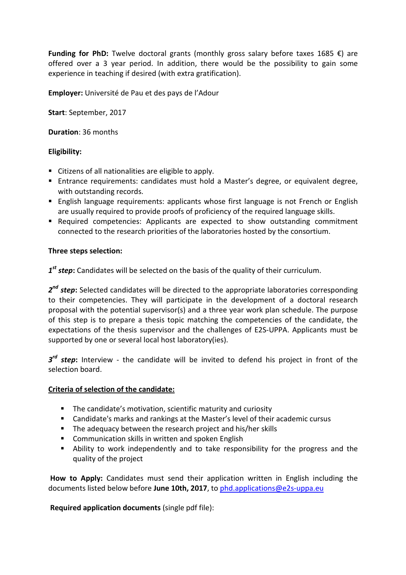**Funding for PhD:** Twelve doctoral grants (monthly gross salary before taxes 1685 €) are offered over a 3 year period. In addition, there would be the possibility to gain some experience in teaching if desired (with extra gratification).

**Employer:** Université de Pau et des pays de l'Adour

**Start**: September, 2017

**Duration**: 36 months

# **Eligibility:**

- Citizens of all nationalities are eligible to apply.
- Entrance requirements: candidates must hold a Master's degree, or equivalent degree, with outstanding records.
- English language requirements: applicants whose first language is not French or English are usually required to provide proofs of proficiency of the required language skills.
- **•** Required competencies: Applicants are expected to show outstanding commitment connected to the research priorities of the laboratories hosted by the consortium.

## **Three steps selection:**

*1 st step***:** Candidates will be selected on the basis of the quality of their curriculum.

*2 nd step***:** Selected candidates will be directed to the appropriate laboratories corresponding to their competencies. They will participate in the development of a doctoral research proposal with the potential supervisor(s) and a three year work plan schedule. The purpose of this step is to prepare a thesis topic matching the competencies of the candidate, the expectations of the thesis supervisor and the challenges of E2S-UPPA. Applicants must be supported by one or several local host laboratory(ies).

*3 rd step***:** Interview - the candidate will be invited to defend his project in front of the selection board.

## **Criteria of selection of the candidate:**

- **The candidate's motivation, scientific maturity and curiosity**
- Candidate's marks and rankings at the Master's level of their academic cursus
- **The adequacy between the research project and his/her skills**
- **E** Communication skills in written and spoken English
- Ability to work independently and to take responsibility for the progress and the quality of the project

**How to Apply:** Candidates must send their application written in English including the documents listed below before **June 10th, 2017**, to phd.applications@e2s-uppa.eu

**Required application documents** (single pdf file):